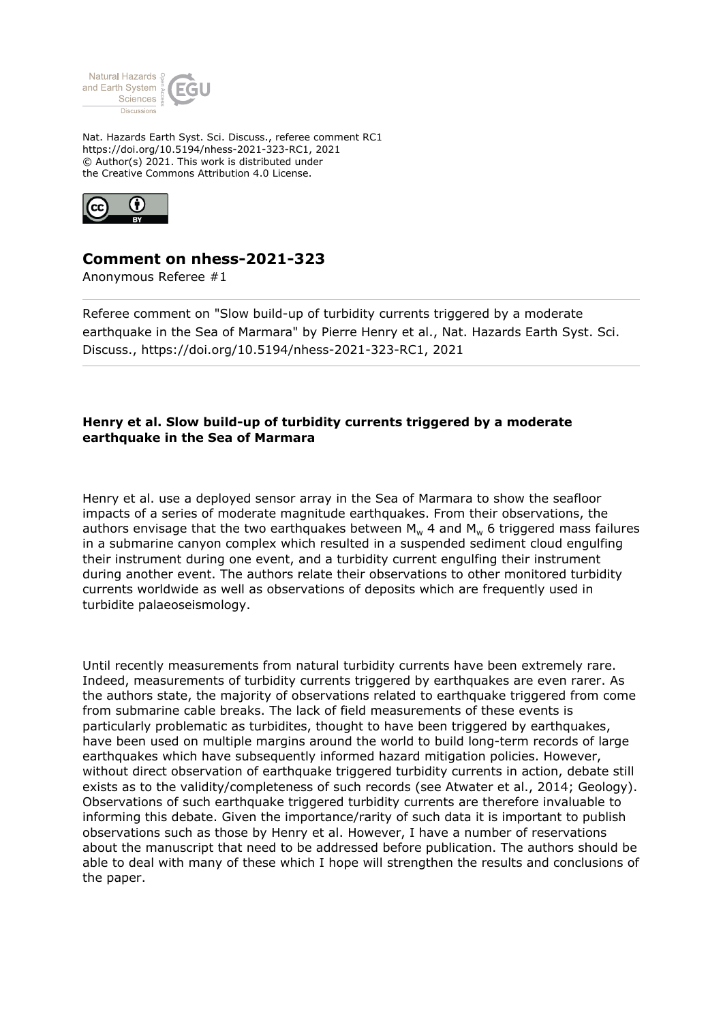

Nat. Hazards Earth Syst. Sci. Discuss., referee comment RC1 https://doi.org/10.5194/nhess-2021-323-RC1, 2021 © Author(s) 2021. This work is distributed under the Creative Commons Attribution 4.0 License.



## **Comment on nhess-2021-323**

Anonymous Referee #1

Referee comment on "Slow build-up of turbidity currents triggered by a moderate earthquake in the Sea of Marmara" by Pierre Henry et al., Nat. Hazards Earth Syst. Sci. Discuss., https://doi.org/10.5194/nhess-2021-323-RC1, 2021

## **Henry et al. Slow build-up of turbidity currents triggered by a moderate earthquake in the Sea of Marmara**

Henry et al. use a deployed sensor array in the Sea of Marmara to show the seafloor impacts of a series of moderate magnitude earthquakes. From their observations, the authors envisage that the two earthquakes between  $M_w$  4 and  $M_w$  6 triggered mass failures in a submarine canyon complex which resulted in a suspended sediment cloud engulfing their instrument during one event, and a turbidity current engulfing their instrument during another event. The authors relate their observations to other monitored turbidity currents worldwide as well as observations of deposits which are frequently used in turbidite palaeoseismology.

Until recently measurements from natural turbidity currents have been extremely rare. Indeed, measurements of turbidity currents triggered by earthquakes are even rarer. As the authors state, the majority of observations related to earthquake triggered from come from submarine cable breaks. The lack of field measurements of these events is particularly problematic as turbidites, thought to have been triggered by earthquakes, have been used on multiple margins around the world to build long-term records of large earthquakes which have subsequently informed hazard mitigation policies. However, without direct observation of earthquake triggered turbidity currents in action, debate still exists as to the validity/completeness of such records (see Atwater et al., 2014; Geology). Observations of such earthquake triggered turbidity currents are therefore invaluable to informing this debate. Given the importance/rarity of such data it is important to publish observations such as those by Henry et al. However, I have a number of reservations about the manuscript that need to be addressed before publication. The authors should be able to deal with many of these which I hope will strengthen the results and conclusions of the paper.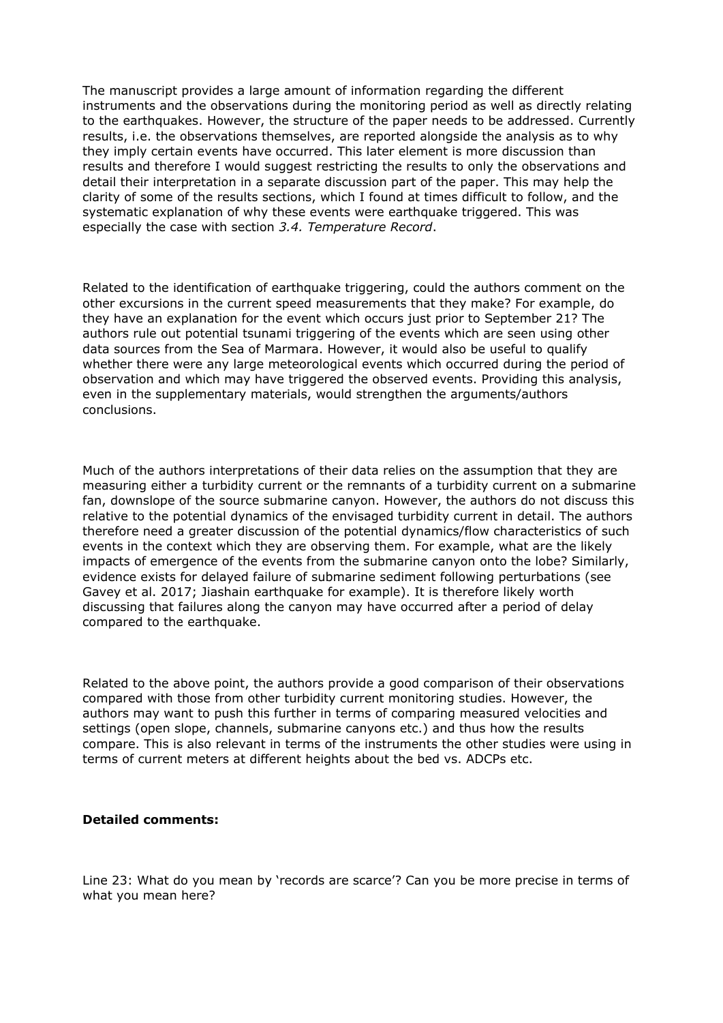The manuscript provides a large amount of information regarding the different instruments and the observations during the monitoring period as well as directly relating to the earthquakes. However, the structure of the paper needs to be addressed. Currently results, i.e. the observations themselves, are reported alongside the analysis as to why they imply certain events have occurred. This later element is more discussion than results and therefore I would suggest restricting the results to only the observations and detail their interpretation in a separate discussion part of the paper. This may help the clarity of some of the results sections, which I found at times difficult to follow, and the systematic explanation of why these events were earthquake triggered. This was especially the case with section *3.4. Temperature Record*.

Related to the identification of earthquake triggering, could the authors comment on the other excursions in the current speed measurements that they make? For example, do they have an explanation for the event which occurs just prior to September 21? The authors rule out potential tsunami triggering of the events which are seen using other data sources from the Sea of Marmara. However, it would also be useful to qualify whether there were any large meteorological events which occurred during the period of observation and which may have triggered the observed events. Providing this analysis, even in the supplementary materials, would strengthen the arguments/authors conclusions.

Much of the authors interpretations of their data relies on the assumption that they are measuring either a turbidity current or the remnants of a turbidity current on a submarine fan, downslope of the source submarine canyon. However, the authors do not discuss this relative to the potential dynamics of the envisaged turbidity current in detail. The authors therefore need a greater discussion of the potential dynamics/flow characteristics of such events in the context which they are observing them. For example, what are the likely impacts of emergence of the events from the submarine canyon onto the lobe? Similarly, evidence exists for delayed failure of submarine sediment following perturbations (see Gavey et al. 2017; Jiashain earthquake for example). It is therefore likely worth discussing that failures along the canyon may have occurred after a period of delay compared to the earthquake.

Related to the above point, the authors provide a good comparison of their observations compared with those from other turbidity current monitoring studies. However, the authors may want to push this further in terms of comparing measured velocities and settings (open slope, channels, submarine canyons etc.) and thus how the results compare. This is also relevant in terms of the instruments the other studies were using in terms of current meters at different heights about the bed vs. ADCPs etc.

## **Detailed comments:**

Line 23: What do you mean by 'records are scarce'? Can you be more precise in terms of what you mean here?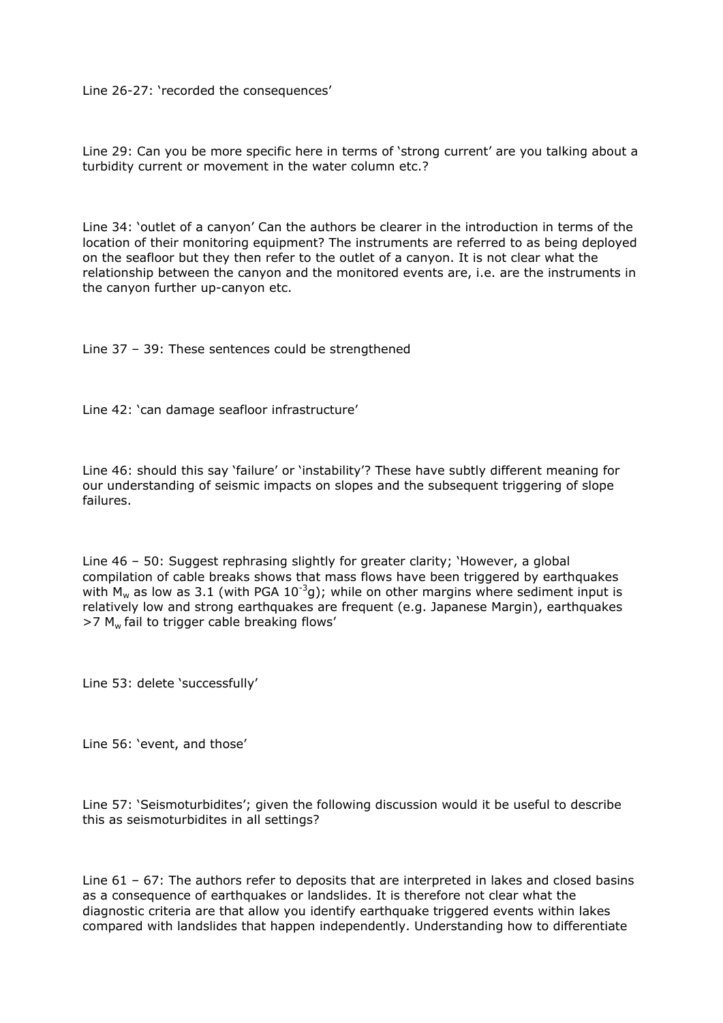Line 26-27: 'recorded the consequences'

Line 29: Can you be more specific here in terms of 'strong current' are you talking about a turbidity current or movement in the water column etc.?

Line 34: 'outlet of a canyon' Can the authors be clearer in the introduction in terms of the location of their monitoring equipment? The instruments are referred to as being deployed on the seafloor but they then refer to the outlet of a canyon. It is not clear what the relationship between the canyon and the monitored events are, i.e. are the instruments in the canyon further up-canyon etc.

Line 37 – 39: These sentences could be strengthened

Line 42: 'can damage seafloor infrastructure'

Line 46: should this say 'failure' or 'instability'? These have subtly different meaning for our understanding of seismic impacts on slopes and the subsequent triggering of slope failures.

Line 46 – 50: Suggest rephrasing slightly for greater clarity; 'However, a global compilation of cable breaks shows that mass flows have been triggered by earthquakes with M<sub>w</sub> as low as 3.1 (with PGA 10<sup>-3</sup>g); while on other margins where sediment input is relatively low and strong earthquakes are frequent (e.g. Japanese Margin), earthquakes  $>7$  M<sub>w</sub> fail to trigger cable breaking flows'

Line 53: delete 'successfully'

Line 56: 'event, and those'

Line 57: 'Seismoturbidites'; given the following discussion would it be useful to describe this as seismoturbidites in all settings?

Line 61 – 67: The authors refer to deposits that are interpreted in lakes and closed basins as a consequence of earthquakes or landslides. It is therefore not clear what the diagnostic criteria are that allow you identify earthquake triggered events within lakes compared with landslides that happen independently. Understanding how to differentiate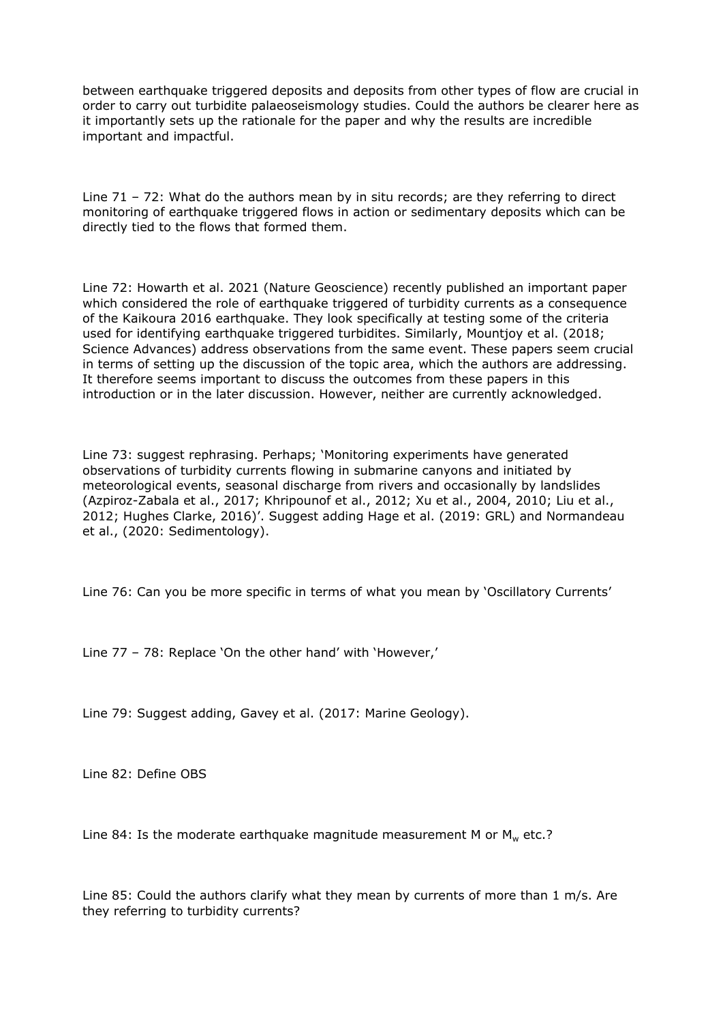between earthquake triggered deposits and deposits from other types of flow are crucial in order to carry out turbidite palaeoseismology studies. Could the authors be clearer here as it importantly sets up the rationale for the paper and why the results are incredible important and impactful.

Line 71 – 72: What do the authors mean by in situ records; are they referring to direct monitoring of earthquake triggered flows in action or sedimentary deposits which can be directly tied to the flows that formed them.

Line 72: Howarth et al. 2021 (Nature Geoscience) recently published an important paper which considered the role of earthquake triggered of turbidity currents as a consequence of the Kaikoura 2016 earthquake. They look specifically at testing some of the criteria used for identifying earthquake triggered turbidites. Similarly, Mountjoy et al. (2018; Science Advances) address observations from the same event. These papers seem crucial in terms of setting up the discussion of the topic area, which the authors are addressing. It therefore seems important to discuss the outcomes from these papers in this introduction or in the later discussion. However, neither are currently acknowledged.

Line 73: suggest rephrasing. Perhaps; 'Monitoring experiments have generated observations of turbidity currents flowing in submarine canyons and initiated by meteorological events, seasonal discharge from rivers and occasionally by landslides (Azpiroz-Zabala et al., 2017; Khripounof et al., 2012; Xu et al., 2004, 2010; Liu et al., 2012; Hughes Clarke, 2016)'. Suggest adding Hage et al. (2019: GRL) and Normandeau et al., (2020: Sedimentology).

Line 76: Can you be more specific in terms of what you mean by 'Oscillatory Currents'

Line 77 – 78: Replace 'On the other hand' with 'However,'

Line 79: Suggest adding, Gavey et al. (2017: Marine Geology).

Line 82: Define OBS

Line 84: Is the moderate earthquake magnitude measurement M or  $M_w$  etc.?

Line 85: Could the authors clarify what they mean by currents of more than 1 m/s. Are they referring to turbidity currents?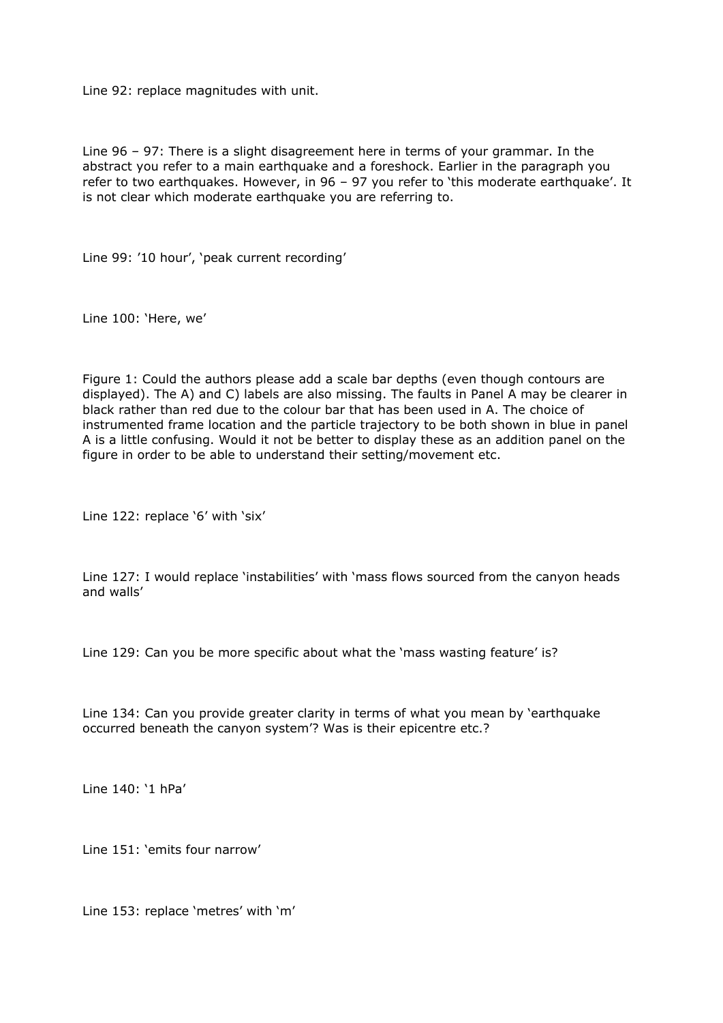Line 92: replace magnitudes with unit.

Line 96 – 97: There is a slight disagreement here in terms of your grammar. In the abstract you refer to a main earthquake and a foreshock. Earlier in the paragraph you refer to two earthquakes. However, in 96 – 97 you refer to 'this moderate earthquake'. It is not clear which moderate earthquake you are referring to.

Line 99: '10 hour', 'peak current recording'

Line 100: 'Here, we'

Figure 1: Could the authors please add a scale bar depths (even though contours are displayed). The A) and C) labels are also missing. The faults in Panel A may be clearer in black rather than red due to the colour bar that has been used in A. The choice of instrumented frame location and the particle trajectory to be both shown in blue in panel A is a little confusing. Would it not be better to display these as an addition panel on the figure in order to be able to understand their setting/movement etc.

Line 122: replace '6' with 'six'

Line 127: I would replace 'instabilities' with 'mass flows sourced from the canyon heads and walls'

Line 129: Can you be more specific about what the 'mass wasting feature' is?

Line 134: Can you provide greater clarity in terms of what you mean by 'earthquake occurred beneath the canyon system'? Was is their epicentre etc.?

Line 140: '1 hPa'

Line 151: 'emits four narrow'

Line 153: replace 'metres' with 'm'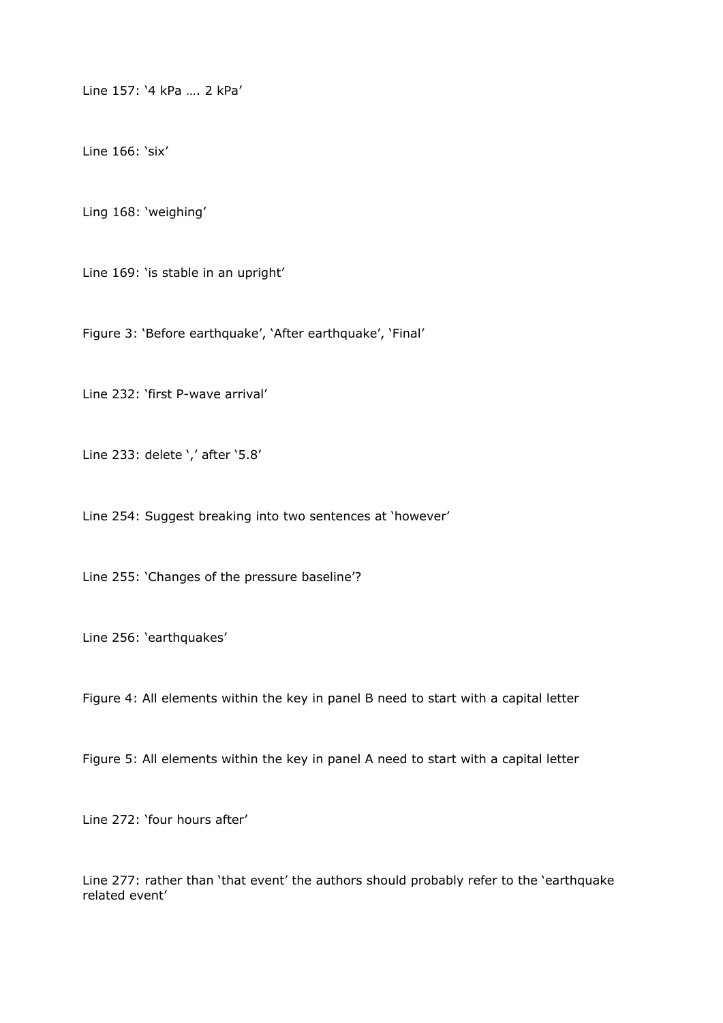Line 157: '4 kPa …. 2 kPa'

Line 166: 'six'

Ling 168: 'weighing'

Line 169: 'is stable in an upright'

Figure 3: 'Before earthquake', 'After earthquake', 'Final'

Line 232: 'first P-wave arrival'

Line 233: delete ',' after '5.8'

Line 254: Suggest breaking into two sentences at 'however'

Line 255: 'Changes of the pressure baseline'?

Line 256: 'earthquakes'

Figure 4: All elements within the key in panel B need to start with a capital letter

Figure 5: All elements within the key in panel A need to start with a capital letter

Line 272: 'four hours after'

Line 277: rather than 'that event' the authors should probably refer to the 'earthquake related event'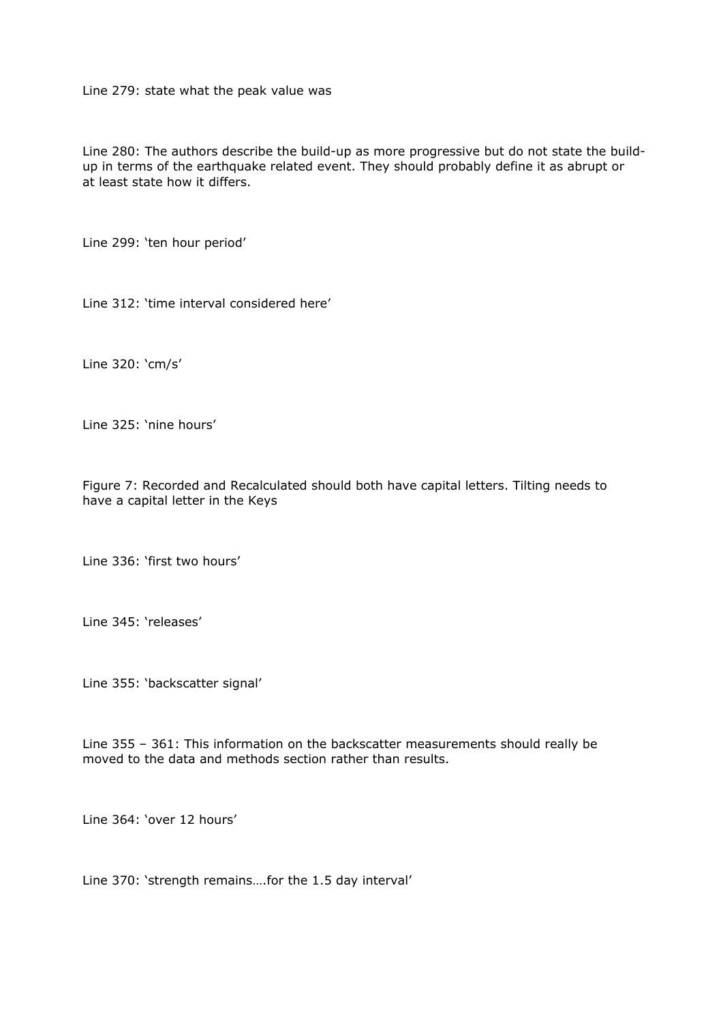Line 279: state what the peak value was

Line 280: The authors describe the build-up as more progressive but do not state the buildup in terms of the earthquake related event. They should probably define it as abrupt or at least state how it differs.

Line 299: 'ten hour period'

Line 312: 'time interval considered here'

Line 320: 'cm/s'

Line 325: 'nine hours'

Figure 7: Recorded and Recalculated should both have capital letters. Tilting needs to have a capital letter in the Keys

Line 336: 'first two hours'

Line 345: 'releases'

Line 355: 'backscatter signal'

Line 355 – 361: This information on the backscatter measurements should really be moved to the data and methods section rather than results.

Line 364: 'over 12 hours'

Line 370: 'strength remains….for the 1.5 day interval'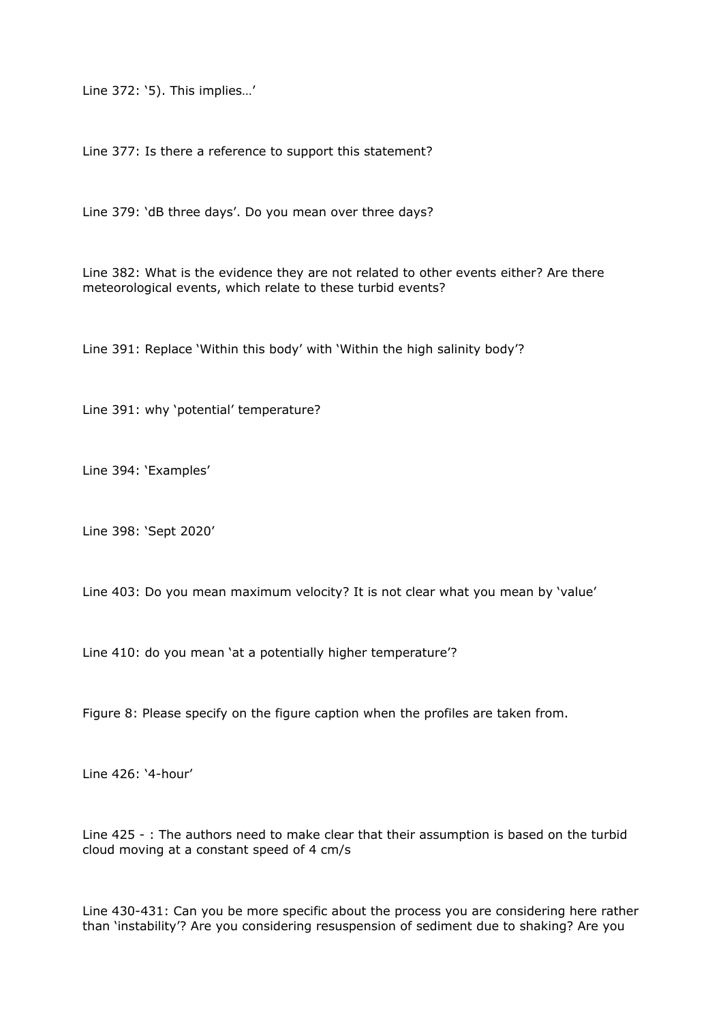Line 372: '5). This implies…'

Line 377: Is there a reference to support this statement?

Line 379: 'dB three days'. Do you mean over three days?

Line 382: What is the evidence they are not related to other events either? Are there meteorological events, which relate to these turbid events?

Line 391: Replace 'Within this body' with 'Within the high salinity body'?

Line 391: why 'potential' temperature?

Line 394: 'Examples'

Line 398: 'Sept 2020'

Line 403: Do you mean maximum velocity? It is not clear what you mean by 'value'

Line 410: do you mean 'at a potentially higher temperature'?

Figure 8: Please specify on the figure caption when the profiles are taken from.

Line 426: '4-hour'

Line 425 - : The authors need to make clear that their assumption is based on the turbid cloud moving at a constant speed of 4 cm/s

Line 430-431: Can you be more specific about the process you are considering here rather than 'instability'? Are you considering resuspension of sediment due to shaking? Are you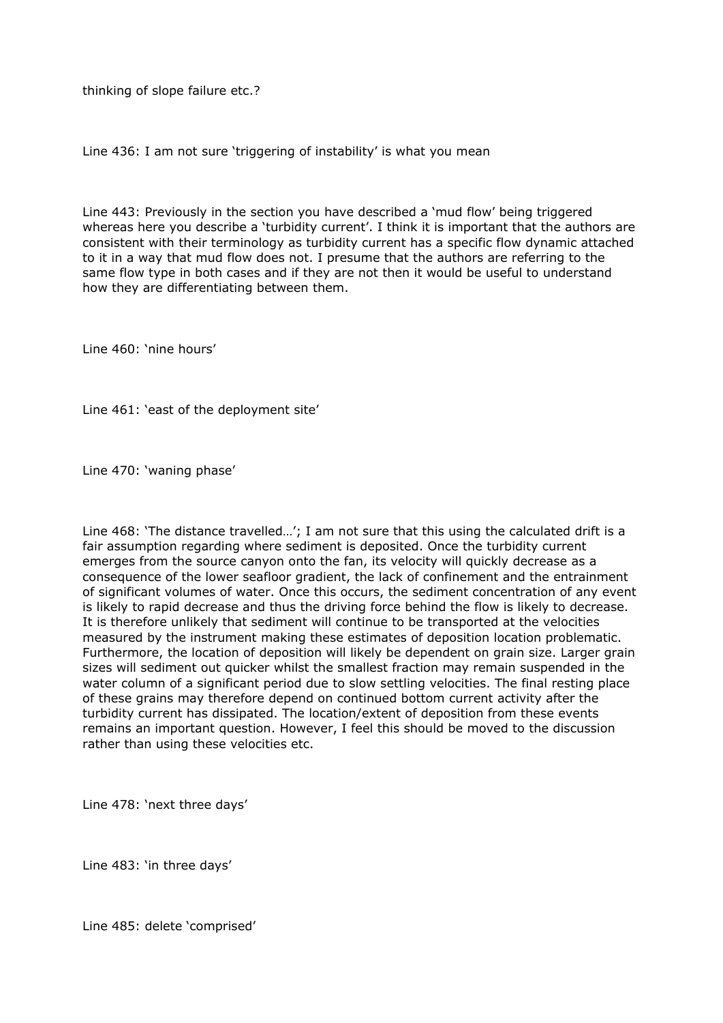thinking of slope failure etc.?

Line 436: I am not sure 'triggering of instability' is what you mean

Line 443: Previously in the section you have described a 'mud flow' being triggered whereas here you describe a 'turbidity current'. I think it is important that the authors are consistent with their terminology as turbidity current has a specific flow dynamic attached to it in a way that mud flow does not. I presume that the authors are referring to the same flow type in both cases and if they are not then it would be useful to understand how they are differentiating between them.

Line 460: 'nine hours'

Line 461: 'east of the deployment site'

Line 470: 'waning phase'

Line 468: 'The distance travelled…'; I am not sure that this using the calculated drift is a fair assumption regarding where sediment is deposited. Once the turbidity current emerges from the source canyon onto the fan, its velocity will quickly decrease as a consequence of the lower seafloor gradient, the lack of confinement and the entrainment of significant volumes of water. Once this occurs, the sediment concentration of any event is likely to rapid decrease and thus the driving force behind the flow is likely to decrease. It is therefore unlikely that sediment will continue to be transported at the velocities measured by the instrument making these estimates of deposition location problematic. Furthermore, the location of deposition will likely be dependent on grain size. Larger grain sizes will sediment out quicker whilst the smallest fraction may remain suspended in the water column of a significant period due to slow settling velocities. The final resting place of these grains may therefore depend on continued bottom current activity after the turbidity current has dissipated. The location/extent of deposition from these events remains an important question. However, I feel this should be moved to the discussion rather than using these velocities etc.

Line 478: 'next three days'

Line 483: 'in three days'

Line 485: delete 'comprised'